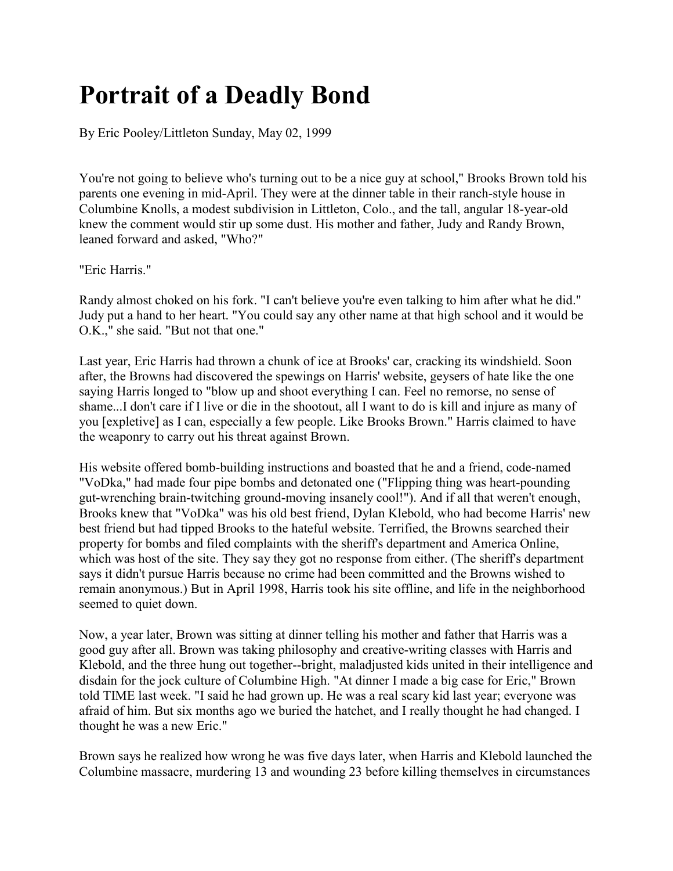## **Portrait of a Deadly Bond**

By Eric Pooley/Littleton Sunday, May 02, 1999

You're not going to believe who's turning out to be a nice guy at school," Brooks Brown told his parents one evening in mid-April. They were at the dinner table in their ranch-style house in Columbine Knolls, a modest subdivision in Littleton, Colo., and the tall, angular 18-year-old knew the comment would stir up some dust. His mother and father, Judy and Randy Brown, leaned forward and asked, "Who?"

"Eric Harris."

Randy almost choked on his fork. "I can't believe you're even talking to him after what he did." Judy put a hand to her heart. "You could say any other name at that high school and it would be O.K.," she said. "But not that one."

Last year, Eric Harris had thrown a chunk of ice at Brooks' car, cracking its windshield. Soon after, the Browns had discovered the spewings on Harris' website, geysers of hate like the one saying Harris longed to "blow up and shoot everything I can. Feel no remorse, no sense of shame...I don't care if I live or die in the shootout, all I want to do is kill and injure as many of you [expletive] as I can, especially a few people. Like Brooks Brown." Harris claimed to have the weaponry to carry out his threat against Brown.

His website offered bomb-building instructions and boasted that he and a friend, code-named "VoDka," had made four pipe bombs and detonated one ("Flipping thing was heart-pounding gut-wrenching brain-twitching ground-moving insanely cool!"). And if all that weren't enough, Brooks knew that "VoDka" was his old best friend, Dylan Klebold, who had become Harris' new best friend but had tipped Brooks to the hateful website. Terrified, the Browns searched their property for bombs and filed complaints with the sheriff's department and America Online, which was host of the site. They say they got no response from either. (The sheriff's department says it didn't pursue Harris because no crime had been committed and the Browns wished to remain anonymous.) But in April 1998, Harris took his site offline, and life in the neighborhood seemed to quiet down.

Now, a year later, Brown was sitting at dinner telling his mother and father that Harris was a good guy after all. Brown was taking philosophy and creative-writing classes with Harris and Klebold, and the three hung out together--bright, maladjusted kids united in their intelligence and disdain for the jock culture of Columbine High. "At dinner I made a big case for Eric," Brown told TIME last week. "I said he had grown up. He was a real scary kid last year; everyone was afraid of him. But six months ago we buried the hatchet, and I really thought he had changed. I thought he was a new Eric."

Brown says he realized how wrong he was five days later, when Harris and Klebold launched the Columbine massacre, murdering 13 and wounding 23 before killing themselves in circumstances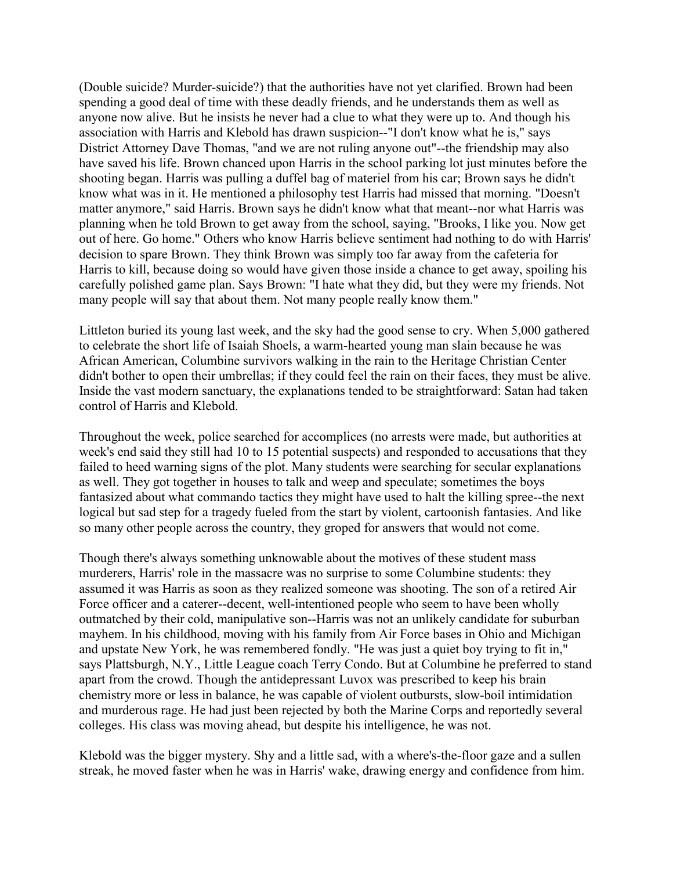(Double suicide? Murder-suicide?) that the authorities have not yet clarified. Brown had been spending a good deal of time with these deadly friends, and he understands them as well as anyone now alive. But he insists he never had a clue to what they were up to. And though his association with Harris and Klebold has drawn suspicion--"I don't know what he is," says District Attorney Dave Thomas, "and we are not ruling anyone out"--the friendship may also have saved his life. Brown chanced upon Harris in the school parking lot just minutes before the shooting began. Harris was pulling a duffel bag of materiel from his car; Brown says he didn't know what was in it. He mentioned a philosophy test Harris had missed that morning. "Doesn't matter anymore," said Harris. Brown says he didn't know what that meant--nor what Harris was planning when he told Brown to get away from the school, saying, "Brooks, I like you. Now get out of here. Go home." Others who know Harris believe sentiment had nothing to do with Harris' decision to spare Brown. They think Brown was simply too far away from the cafeteria for Harris to kill, because doing so would have given those inside a chance to get away, spoiling his carefully polished game plan. Says Brown: "I hate what they did, but they were my friends. Not many people will say that about them. Not many people really know them."

Littleton buried its young last week, and the sky had the good sense to cry. When 5,000 gathered to celebrate the short life of Isaiah Shoels, a warm-hearted young man slain because he was African American, Columbine survivors walking in the rain to the Heritage Christian Center didn't bother to open their umbrellas; if they could feel the rain on their faces, they must be alive. Inside the vast modern sanctuary, the explanations tended to be straightforward: Satan had taken control of Harris and Klebold.

Throughout the week, police searched for accomplices (no arrests were made, but authorities at week's end said they still had 10 to 15 potential suspects) and responded to accusations that they failed to heed warning signs of the plot. Many students were searching for secular explanations as well. They got together in houses to talk and weep and speculate; sometimes the boys fantasized about what commando tactics they might have used to halt the killing spree--the next logical but sad step for a tragedy fueled from the start by violent, cartoonish fantasies. And like so many other people across the country, they groped for answers that would not come.

Though there's always something unknowable about the motives of these student mass murderers, Harris' role in the massacre was no surprise to some Columbine students: they assumed it was Harris as soon as they realized someone was shooting. The son of a retired Air Force officer and a caterer--decent, well-intentioned people who seem to have been wholly outmatched by their cold, manipulative son--Harris was not an unlikely candidate for suburban mayhem. In his childhood, moving with his family from Air Force bases in Ohio and Michigan and upstate New York, he was remembered fondly. "He was just a quiet boy trying to fit in," says Plattsburgh, N.Y., Little League coach Terry Condo. But at Columbine he preferred to stand apart from the crowd. Though the antidepressant Luvox was prescribed to keep his brain chemistry more or less in balance, he was capable of violent outbursts, slow-boil intimidation and murderous rage. He had just been rejected by both the Marine Corps and reportedly several colleges. His class was moving ahead, but despite his intelligence, he was not.

Klebold was the bigger mystery. Shy and a little sad, with a where's-the-floor gaze and a sullen streak, he moved faster when he was in Harris' wake, drawing energy and confidence from him.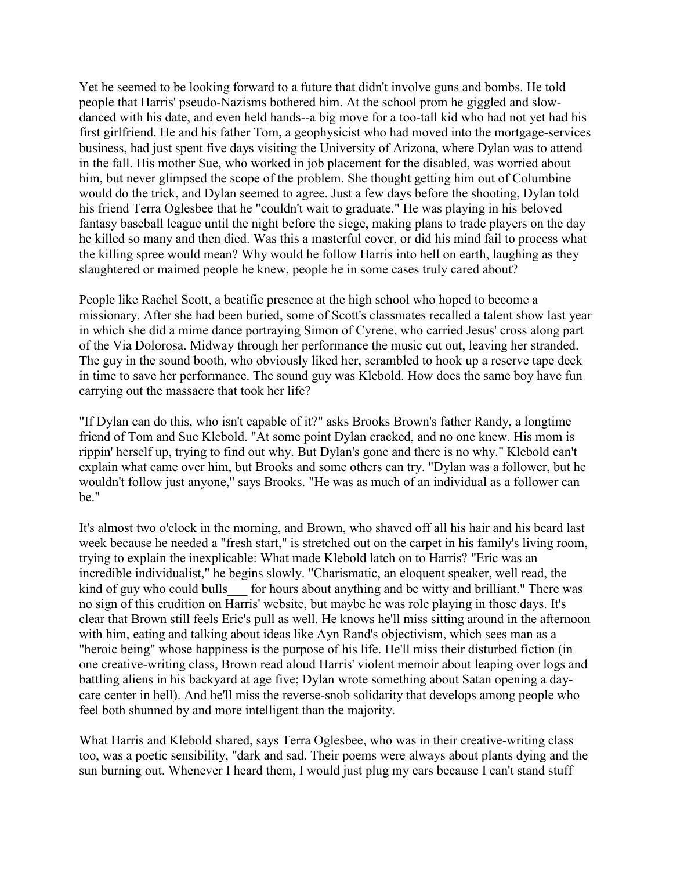Yet he seemed to be looking forward to a future that didn't involve guns and bombs. He told people that Harris' pseudo-Nazisms bothered him. At the school prom he giggled and slowdanced with his date, and even held hands--a big move for a too-tall kid who had not yet had his first girlfriend. He and his father Tom, a geophysicist who had moved into the mortgage-services business, had just spent five days visiting the University of Arizona, where Dylan was to attend in the fall. His mother Sue, who worked in job placement for the disabled, was worried about him, but never glimpsed the scope of the problem. She thought getting him out of Columbine would do the trick, and Dylan seemed to agree. Just a few days before the shooting, Dylan told his friend Terra Oglesbee that he "couldn't wait to graduate." He was playing in his beloved fantasy baseball league until the night before the siege, making plans to trade players on the day he killed so many and then died. Was this a masterful cover, or did his mind fail to process what the killing spree would mean? Why would he follow Harris into hell on earth, laughing as they slaughtered or maimed people he knew, people he in some cases truly cared about?

People like Rachel Scott, a beatific presence at the high school who hoped to become a missionary. After she had been buried, some of Scott's classmates recalled a talent show last year in which she did a mime dance portraying Simon of Cyrene, who carried Jesus' cross along part of the Via Dolorosa. Midway through her performance the music cut out, leaving her stranded. The guy in the sound booth, who obviously liked her, scrambled to hook up a reserve tape deck in time to save her performance. The sound guy was Klebold. How does the same boy have fun carrying out the massacre that took her life?

"If Dylan can do this, who isn't capable of it?" asks Brooks Brown's father Randy, a longtime friend of Tom and Sue Klebold. "At some point Dylan cracked, and no one knew. His mom is rippin' herself up, trying to find out why. But Dylan's gone and there is no why." Klebold can't explain what came over him, but Brooks and some others can try. "Dylan was a follower, but he wouldn't follow just anyone," says Brooks. "He was as much of an individual as a follower can be."

It's almost two o'clock in the morning, and Brown, who shaved off all his hair and his beard last week because he needed a "fresh start," is stretched out on the carpet in his family's living room, trying to explain the inexplicable: What made Klebold latch on to Harris? "Eric was an incredible individualist," he begins slowly. "Charismatic, an eloquent speaker, well read, the kind of guy who could bulls for hours about anything and be witty and brilliant." There was no sign of this erudition on Harris' website, but maybe he was role playing in those days. It's clear that Brown still feels Eric's pull as well. He knows he'll miss sitting around in the afternoon with him, eating and talking about ideas like Ayn Rand's objectivism, which sees man as a "heroic being" whose happiness is the purpose of his life. He'll miss their disturbed fiction (in one creative-writing class, Brown read aloud Harris' violent memoir about leaping over logs and battling aliens in his backyard at age five; Dylan wrote something about Satan opening a daycare center in hell). And he'll miss the reverse-snob solidarity that develops among people who feel both shunned by and more intelligent than the majority.

What Harris and Klebold shared, says Terra Oglesbee, who was in their creative-writing class too, was a poetic sensibility, "dark and sad. Their poems were always about plants dying and the sun burning out. Whenever I heard them, I would just plug my ears because I can't stand stuff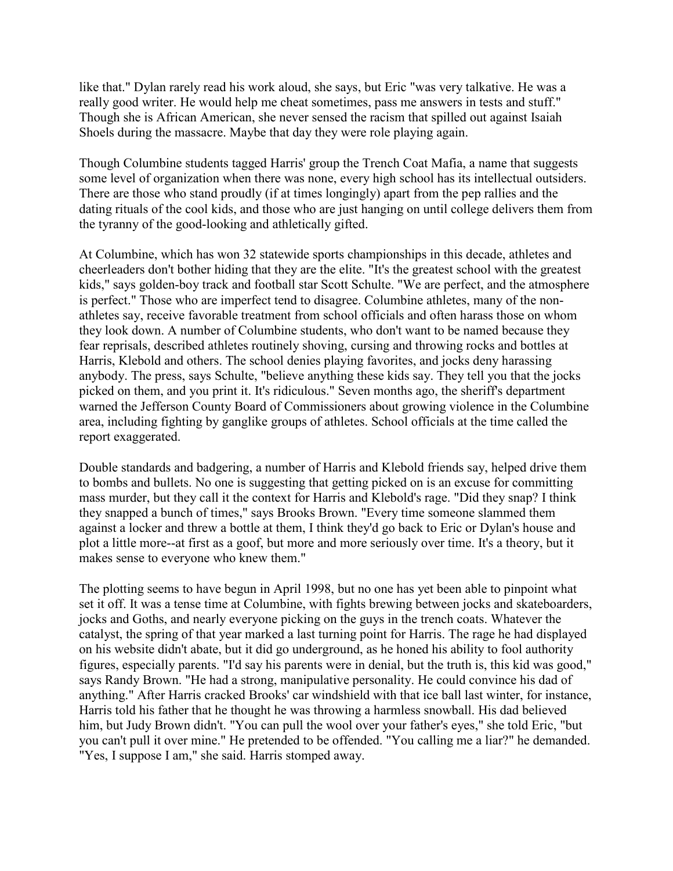like that." Dylan rarely read his work aloud, she says, but Eric "was very talkative. He was a really good writer. He would help me cheat sometimes, pass me answers in tests and stuff." Though she is African American, she never sensed the racism that spilled out against Isaiah Shoels during the massacre. Maybe that day they were role playing again.

Though Columbine students tagged Harris' group the Trench Coat Mafia, a name that suggests some level of organization when there was none, every high school has its intellectual outsiders. There are those who stand proudly (if at times longingly) apart from the pep rallies and the dating rituals of the cool kids, and those who are just hanging on until college delivers them from the tyranny of the good-looking and athletically gifted.

At Columbine, which has won 32 statewide sports championships in this decade, athletes and cheerleaders don't bother hiding that they are the elite. "It's the greatest school with the greatest kids," says golden-boy track and football star Scott Schulte. "We are perfect, and the atmosphere is perfect." Those who are imperfect tend to disagree. Columbine athletes, many of the nonathletes say, receive favorable treatment from school officials and often harass those on whom they look down. A number of Columbine students, who don't want to be named because they fear reprisals, described athletes routinely shoving, cursing and throwing rocks and bottles at Harris, Klebold and others. The school denies playing favorites, and jocks deny harassing anybody. The press, says Schulte, "believe anything these kids say. They tell you that the jocks picked on them, and you print it. It's ridiculous." Seven months ago, the sheriff's department warned the Jefferson County Board of Commissioners about growing violence in the Columbine area, including fighting by ganglike groups of athletes. School officials at the time called the report exaggerated.

Double standards and badgering, a number of Harris and Klebold friends say, helped drive them to bombs and bullets. No one is suggesting that getting picked on is an excuse for committing mass murder, but they call it the context for Harris and Klebold's rage. "Did they snap? I think they snapped a bunch of times," says Brooks Brown. "Every time someone slammed them against a locker and threw a bottle at them, I think they'd go back to Eric or Dylan's house and plot a little more--at first as a goof, but more and more seriously over time. It's a theory, but it makes sense to everyone who knew them."

The plotting seems to have begun in April 1998, but no one has yet been able to pinpoint what set it off. It was a tense time at Columbine, with fights brewing between jocks and skateboarders, jocks and Goths, and nearly everyone picking on the guys in the trench coats. Whatever the catalyst, the spring of that year marked a last turning point for Harris. The rage he had displayed on his website didn't abate, but it did go underground, as he honed his ability to fool authority figures, especially parents. "I'd say his parents were in denial, but the truth is, this kid was good," says Randy Brown. "He had a strong, manipulative personality. He could convince his dad of anything." After Harris cracked Brooks' car windshield with that ice ball last winter, for instance, Harris told his father that he thought he was throwing a harmless snowball. His dad believed him, but Judy Brown didn't. "You can pull the wool over your father's eyes," she told Eric, "but you can't pull it over mine." He pretended to be offended. "You calling me a liar?" he demanded. "Yes, I suppose I am," she said. Harris stomped away.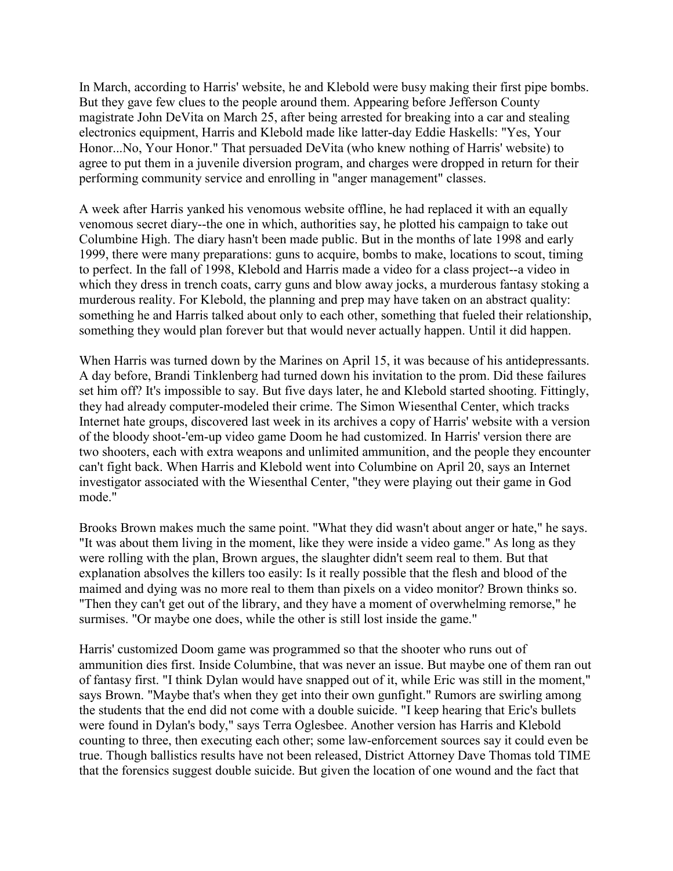In March, according to Harris' website, he and Klebold were busy making their first pipe bombs. But they gave few clues to the people around them. Appearing before Jefferson County magistrate John DeVita on March 25, after being arrested for breaking into a car and stealing electronics equipment, Harris and Klebold made like latter-day Eddie Haskells: "Yes, Your Honor...No, Your Honor." That persuaded DeVita (who knew nothing of Harris' website) to agree to put them in a juvenile diversion program, and charges were dropped in return for their performing community service and enrolling in "anger management" classes.

A week after Harris yanked his venomous website offline, he had replaced it with an equally venomous secret diary--the one in which, authorities say, he plotted his campaign to take out Columbine High. The diary hasn't been made public. But in the months of late 1998 and early 1999, there were many preparations: guns to acquire, bombs to make, locations to scout, timing to perfect. In the fall of 1998, Klebold and Harris made a video for a class project--a video in which they dress in trench coats, carry guns and blow away jocks, a murderous fantasy stoking a murderous reality. For Klebold, the planning and prep may have taken on an abstract quality: something he and Harris talked about only to each other, something that fueled their relationship, something they would plan forever but that would never actually happen. Until it did happen.

When Harris was turned down by the Marines on April 15, it was because of his antidepressants. A day before, Brandi Tinklenberg had turned down his invitation to the prom. Did these failures set him off? It's impossible to say. But five days later, he and Klebold started shooting. Fittingly, they had already computer-modeled their crime. The Simon Wiesenthal Center, which tracks Internet hate groups, discovered last week in its archives a copy of Harris' website with a version of the bloody shoot-'em-up video game Doom he had customized. In Harris' version there are two shooters, each with extra weapons and unlimited ammunition, and the people they encounter can't fight back. When Harris and Klebold went into Columbine on April 20, says an Internet investigator associated with the Wiesenthal Center, "they were playing out their game in God mode."

Brooks Brown makes much the same point. "What they did wasn't about anger or hate," he says. "It was about them living in the moment, like they were inside a video game." As long as they were rolling with the plan, Brown argues, the slaughter didn't seem real to them. But that explanation absolves the killers too easily: Is it really possible that the flesh and blood of the maimed and dying was no more real to them than pixels on a video monitor? Brown thinks so. "Then they can't get out of the library, and they have a moment of overwhelming remorse," he surmises. "Or maybe one does, while the other is still lost inside the game."

Harris' customized Doom game was programmed so that the shooter who runs out of ammunition dies first. Inside Columbine, that was never an issue. But maybe one of them ran out of fantasy first. "I think Dylan would have snapped out of it, while Eric was still in the moment," says Brown. "Maybe that's when they get into their own gunfight." Rumors are swirling among the students that the end did not come with a double suicide. "I keep hearing that Eric's bullets were found in Dylan's body," says Terra Oglesbee. Another version has Harris and Klebold counting to three, then executing each other; some law-enforcement sources say it could even be true. Though ballistics results have not been released, District Attorney Dave Thomas told TIME that the forensics suggest double suicide. But given the location of one wound and the fact that